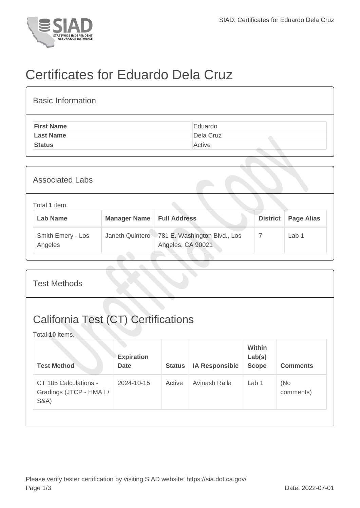

## Certificates for Eduardo Dela Cruz

| <b>Basic Information</b> |           |
|--------------------------|-----------|
| <b>First Name</b>        | Eduardo   |
| <b>Last Name</b>         | Dela Cruz |
| <b>Status</b>            | Active    |

| <b>Associated Labs</b>           |                 |                                                   |                 |                   |  |  |  |
|----------------------------------|-----------------|---------------------------------------------------|-----------------|-------------------|--|--|--|
| Total 1 item.<br><b>Lab Name</b> | Manager Name    | <b>Full Address</b>                               | <b>District</b> | <b>Page Alias</b> |  |  |  |
| Smith Emery - Los<br>Angeles     | Janeth Quintero | 781 E. Washington Blvd., Los<br>Angeles, CA 90021 | 7               | Lab <sub>1</sub>  |  |  |  |

| <b>Test Methods</b>                                                   |                                  |               |                       |                                         |                  |  |  |
|-----------------------------------------------------------------------|----------------------------------|---------------|-----------------------|-----------------------------------------|------------------|--|--|
| <b>California Test (CT) Certifications</b><br>Total 10 items.         |                                  |               |                       |                                         |                  |  |  |
| <b>Test Method</b>                                                    | <b>Expiration</b><br><b>Date</b> | <b>Status</b> | <b>IA Responsible</b> | <b>Within</b><br>Lab(s)<br><b>Scope</b> | <b>Comments</b>  |  |  |
| CT 105 Calculations -<br>Gradings (JTCP - HMA I /<br><b>S&amp;A</b> ) | 2024-10-15                       | Active        | Avinash Ralla         | Lab $1$                                 | (No<br>comments) |  |  |
|                                                                       |                                  |               |                       |                                         |                  |  |  |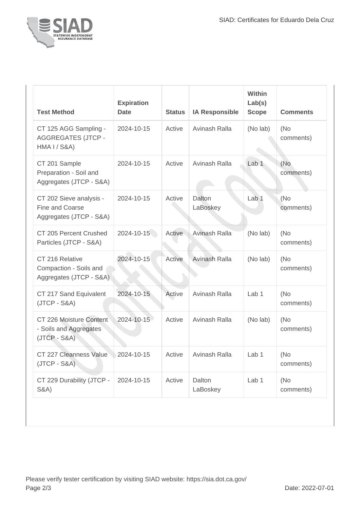

| <b>Test Method</b>                                                    | <b>Expiration</b><br><b>Date</b> | <b>Status</b> | <b>IA Responsible</b> | Within<br>Lab(s)<br><b>Scope</b> | <b>Comments</b>   |
|-----------------------------------------------------------------------|----------------------------------|---------------|-----------------------|----------------------------------|-------------------|
| CT 125 AGG Sampling -<br><b>AGGREGATES (JTCP -</b><br>HMA I / S&A)    | 2024-10-15                       | Active        | Avinash Ralla         | (No lab)                         | (No)<br>comments) |
| CT 201 Sample<br>Preparation - Soil and<br>Aggregates (JTCP - S&A)    | 2024-10-15                       | Active        | Avinash Ralla         | Lab <sub>1</sub>                 | (No<br>comments)  |
| CT 202 Sieve analysis -<br>Fine and Coarse<br>Aggregates (JTCP - S&A) | 2024-10-15                       | Active        | Dalton<br>LaBoskey    | Lab <sub>1</sub>                 | (No<br>comments)  |
| CT 205 Percent Crushed<br>Particles (JTCP - S&A)                      | 2024-10-15                       | Active        | Avinash Ralla         | (No lab)                         | (No<br>comments)  |
| CT 216 Relative<br>Compaction - Soils and<br>Aggregates (JTCP - S&A)  | 2024-10-15                       | Active        | Avinash Ralla         | (No lab)                         | (No)<br>comments) |
| CT 217 Sand Equivalent<br>$(JTCP - S&A)$                              | 2024-10-15                       | Active        | Avinash Ralla         | Lab <sub>1</sub>                 | (No<br>comments)  |
| CT 226 Moisture Content<br>- Soils and Aggregates<br>$(JTCP - S&A)$   | 2024-10-15                       | Active        | Avinash Ralla         | (No lab)                         | (No<br>comments)  |
| CT 227 Cleanness Value 2024-10-15<br>$(JTCP - S&A)$                   |                                  | Active        | Avinash Ralla         | Lab <sub>1</sub>                 | (No<br>comments)  |
| CT 229 Durability (JTCP -<br><b>S&amp;A</b> )                         | 2024-10-15                       | Active        | Dalton<br>LaBoskey    | Lab 1                            | (No)<br>comments) |